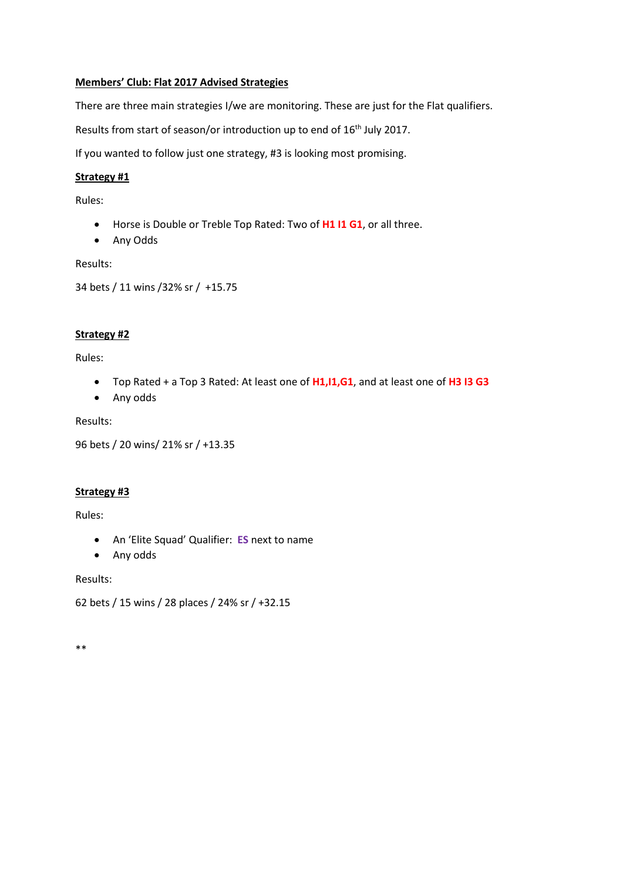### **Members' Club: Flat 2017 Advised Strategies**

There are three main strategies I/we are monitoring. These are just for the Flat qualifiers.

Results from start of season/or introduction up to end of 16<sup>th</sup> July 2017.

If you wanted to follow just one strategy, #3 is looking most promising.

### **Strategy #1**

Rules:

- Horse is Double or Treble Top Rated: Two of **H1 I1 G1**, or all three.
- Any Odds

Results:

```
34 bets / 11 wins /32% sr / +15.75
```
### **Strategy #2**

Rules:

- Top Rated + a Top 3 Rated: At least one of **H1,I1,G1**, and at least one of **H3 I3 G3**
- Any odds

Results:

```
96 bets / 20 wins/ 21% sr / +13.35
```
#### **Strategy #3**

Rules:

- An 'Elite Squad' Qualifier: **ES** next to name
- Any odds

Results:

```
62 bets / 15 wins / 28 places / 24% sr / +32.15
```
\*\*